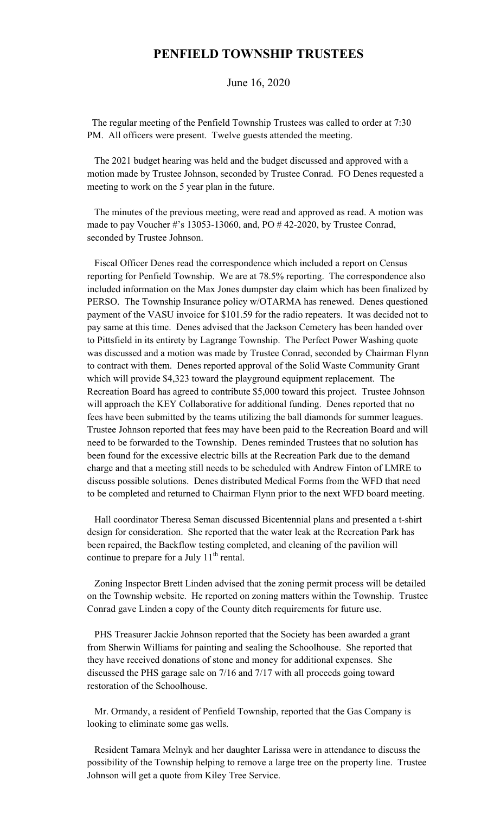## **PENFIELD TOWNSHIP TRUSTEES**

June 16, 2020

 The regular meeting of the Penfield Township Trustees was called to order at 7:30 PM. All officers were present. Twelve guests attended the meeting.

 The 2021 budget hearing was held and the budget discussed and approved with a motion made by Trustee Johnson, seconded by Trustee Conrad. FO Denes requested a meeting to work on the 5 year plan in the future.

 The minutes of the previous meeting, were read and approved as read. A motion was made to pay Voucher #'s 13053-13060, and, PO # 42-2020, by Trustee Conrad, seconded by Trustee Johnson.

 Fiscal Officer Denes read the correspondence which included a report on Census reporting for Penfield Township. We are at 78.5% reporting. The correspondence also included information on the Max Jones dumpster day claim which has been finalized by PERSO. The Township Insurance policy w/OTARMA has renewed. Denes questioned payment of the VASU invoice for \$101.59 for the radio repeaters. It was decided not to pay same at this time. Denes advised that the Jackson Cemetery has been handed over to Pittsfield in its entirety by Lagrange Township. The Perfect Power Washing quote was discussed and a motion was made by Trustee Conrad, seconded by Chairman Flynn to contract with them. Denes reported approval of the Solid Waste Community Grant which will provide \$4,323 toward the playground equipment replacement. The Recreation Board has agreed to contribute \$5,000 toward this project. Trustee Johnson will approach the KEY Collaborative for additional funding. Denes reported that no fees have been submitted by the teams utilizing the ball diamonds for summer leagues. Trustee Johnson reported that fees may have been paid to the Recreation Board and will need to be forwarded to the Township. Denes reminded Trustees that no solution has been found for the excessive electric bills at the Recreation Park due to the demand charge and that a meeting still needs to be scheduled with Andrew Finton of LMRE to discuss possible solutions. Denes distributed Medical Forms from the WFD that need to be completed and returned to Chairman Flynn prior to the next WFD board meeting.

 Hall coordinator Theresa Seman discussed Bicentennial plans and presented a t-shirt design for consideration. She reported that the water leak at the Recreation Park has been repaired, the Backflow testing completed, and cleaning of the pavilion will continue to prepare for a July  $11<sup>th</sup>$  rental.

 Zoning Inspector Brett Linden advised that the zoning permit process will be detailed on the Township website. He reported on zoning matters within the Township. Trustee Conrad gave Linden a copy of the County ditch requirements for future use.

 PHS Treasurer Jackie Johnson reported that the Society has been awarded a grant from Sherwin Williams for painting and sealing the Schoolhouse. She reported that they have received donations of stone and money for additional expenses. She discussed the PHS garage sale on 7/16 and 7/17 with all proceeds going toward restoration of the Schoolhouse.

 Mr. Ormandy, a resident of Penfield Township, reported that the Gas Company is looking to eliminate some gas wells.

 Resident Tamara Melnyk and her daughter Larissa were in attendance to discuss the possibility of the Township helping to remove a large tree on the property line. Trustee Johnson will get a quote from Kiley Tree Service.